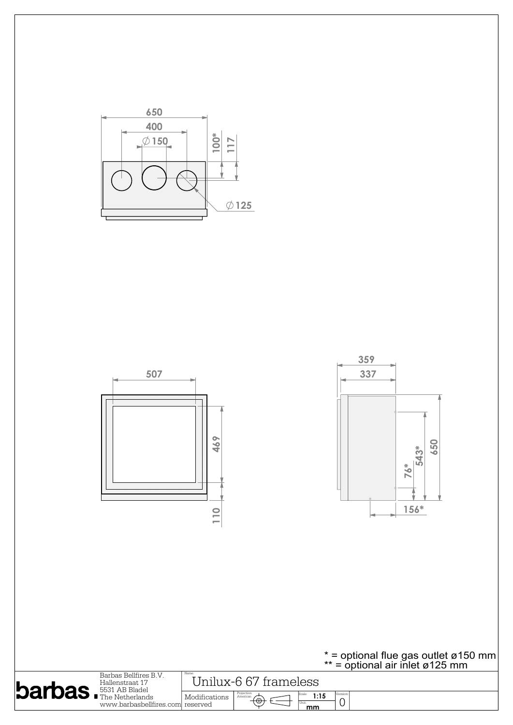

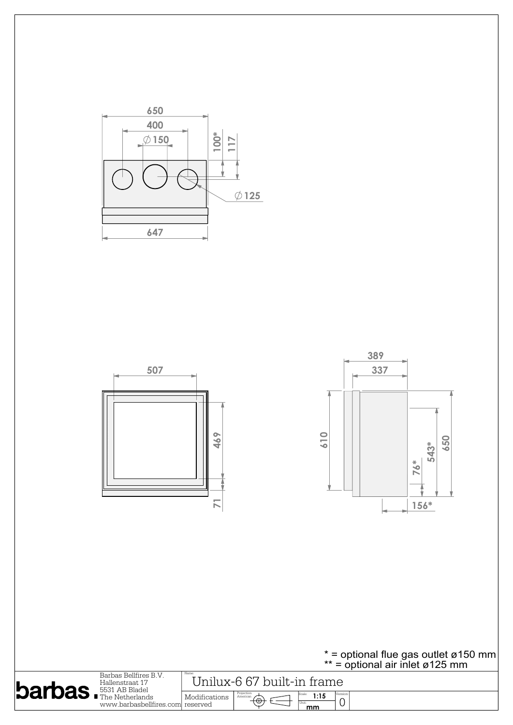

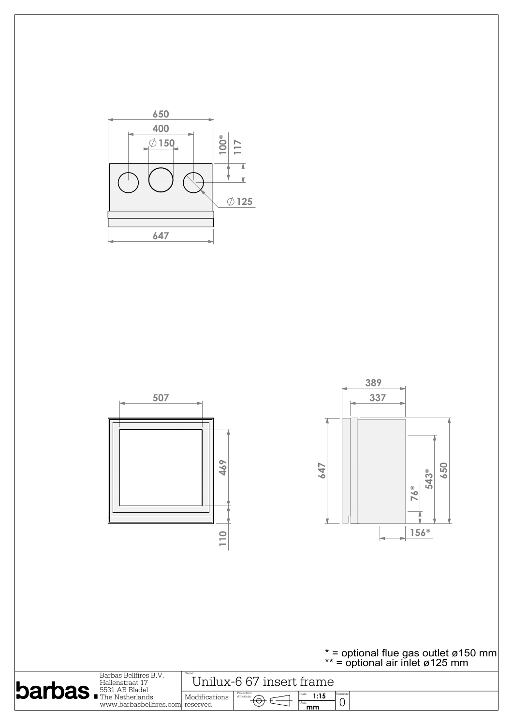

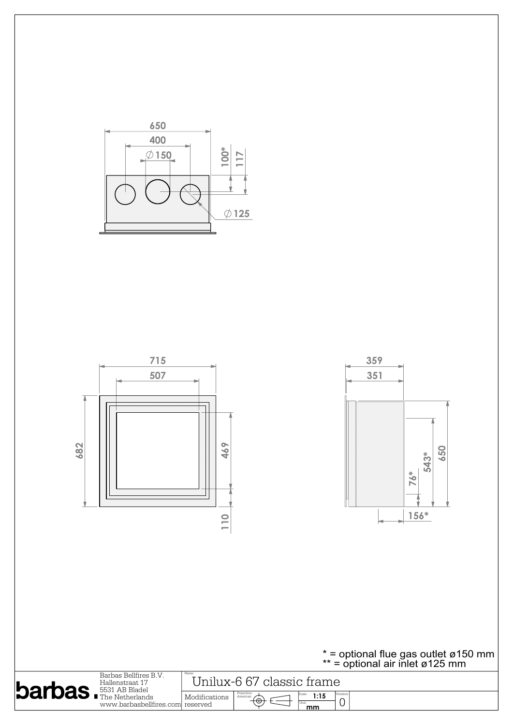